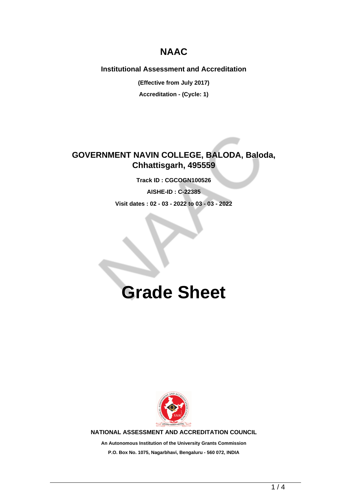## **NAAC**

### **Institutional Assessment and Accreditation**

**(Effective from July 2017)**

**Accreditation - (Cycle: 1)**

## **GOVERNMENT NAVIN COLLEGE, BALODA, Baloda, Chhattisgarh, 495559**

**Track ID : CGCOGN100526**

**AISHE-ID : C-22385**

**Visit dates : 02 - 03 - 2022 to 03 - 03 - 2022**

# **Grade Sheet**



**NATIONAL ASSESSMENT AND ACCREDITATION COUNCIL**

**An Autonomous Institution of the University Grants Commission P.O. Box No. 1075, Nagarbhavi, Bengaluru - 560 072, INDIA**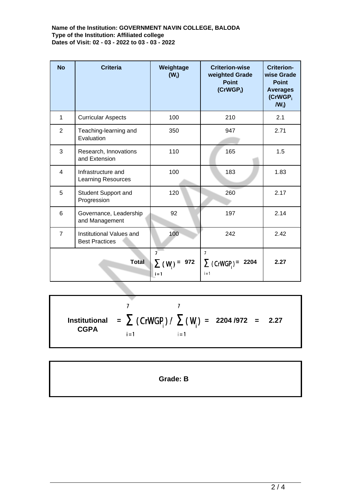**Name of the Institution: GOVERNMENT NAVIN COLLEGE, BALODA Type of the Institution: Affiliated college Dates of Visit: 02 - 03 - 2022 to 03 - 03 - 2022**

| <b>No</b>      | <b>Criteria</b>                                   | Weightage<br>$(W_i)$                               | <b>Criterion-wise</b><br>weighted Grade<br><b>Point</b><br>$(CrWGP_i)$ | <b>Criterion-</b><br>wise Grade<br><b>Point</b><br><b>Averages</b><br>(CrWGP <sub>i</sub><br>$IW_i$ |
|----------------|---------------------------------------------------|----------------------------------------------------|------------------------------------------------------------------------|-----------------------------------------------------------------------------------------------------|
| $\mathbf{1}$   | <b>Curricular Aspects</b>                         | 100                                                | 210                                                                    | 2.1                                                                                                 |
| 2              | Teaching-learning and<br>Evaluation               | 350                                                | 947                                                                    | 2.71                                                                                                |
| 3              | Research, Innovations<br>and Extension            | 110                                                | 165                                                                    | 1.5                                                                                                 |
| $\overline{4}$ | Infrastructure and<br><b>Learning Resources</b>   | 100                                                | 183                                                                    | 1.83                                                                                                |
| 5              | <b>Student Support and</b><br>Progression         | 120                                                | 260                                                                    | 2.17                                                                                                |
| 6              | Governance, Leadership<br>and Management          | 92                                                 | 197                                                                    | 2.14                                                                                                |
| $\overline{7}$ | Institutional Values and<br><b>Best Practices</b> | 100                                                | 242                                                                    | 2.42                                                                                                |
| <b>Total</b>   |                                                   | $\overline{7}$<br>972<br>$\Sigma$ (W) =<br>$i = 1$ | $\overline{7}$<br>$\sum$ (CrWGP) =<br>2204<br>i = 1                    | 2.27                                                                                                |

 $\overline{7}$  $\overline{7}$ **=**  $\sum$  (CrWGP<sub>i</sub>)/  $\sum$  (W<sub>i</sub>) = 2204/972 = 2.27 **Institutional CGPA**  $i = 1$  $i = 1$ 

**Grade: B**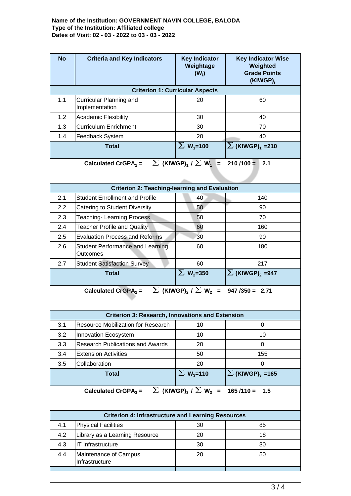#### **Name of the Institution: GOVERNMENT NAVIN COLLEGE, BALODA Type of the Institution: Affiliated college Dates of Visit: 02 - 03 - 2022 to 03 - 03 - 2022**

| <b>No</b>                                                                                                   | <b>Criteria and Key Indicators</b>                   | <b>Key Indicator</b><br>Weightage<br>$(W_i)$ | <b>Key Indicator Wise</b><br>Weighted<br><b>Grade Points</b><br>(KIWGP) <sub>i</sub> |  |  |  |
|-------------------------------------------------------------------------------------------------------------|------------------------------------------------------|----------------------------------------------|--------------------------------------------------------------------------------------|--|--|--|
| <b>Criterion 1: Curricular Aspects</b>                                                                      |                                                      |                                              |                                                                                      |  |  |  |
| 1.1                                                                                                         | Curricular Planning and<br>Implementation            | 20                                           | 60                                                                                   |  |  |  |
| 1.2                                                                                                         | <b>Academic Flexibility</b>                          | 30                                           | 40                                                                                   |  |  |  |
| 1.3                                                                                                         | <b>Curriculum Enrichment</b>                         | 30                                           | 70                                                                                   |  |  |  |
| 1.4                                                                                                         | Feedback System                                      | 20                                           | 40                                                                                   |  |  |  |
|                                                                                                             | <b>Total</b>                                         | $\Sigma$ W <sub>1</sub> =100                 | $\Sigma$ (KIWGP) <sub>1</sub> =210                                                   |  |  |  |
| $\sum$ (KIWGP) <sub>1</sub> / $\sum$ W <sub>1</sub> =<br>Calculated CrGPA $_1$ =<br>$210/100 =$<br>2.1      |                                                      |                                              |                                                                                      |  |  |  |
|                                                                                                             | <b>Criterion 2: Teaching-learning and Evaluation</b> |                                              |                                                                                      |  |  |  |
| 2.1                                                                                                         | <b>Student Enrollment and Profile</b>                | 40                                           | 140                                                                                  |  |  |  |
| 2.2                                                                                                         | Catering to Student Diversity                        | 50                                           | 90                                                                                   |  |  |  |
| 2.3                                                                                                         | <b>Teaching-Learning Process</b>                     | 50                                           | 70                                                                                   |  |  |  |
| 2.4                                                                                                         | <b>Teacher Profile and Quality</b>                   | 60                                           | 160                                                                                  |  |  |  |
| 2.5                                                                                                         | <b>Evaluation Process and Reforms</b>                | 30                                           | 90                                                                                   |  |  |  |
| 2.6                                                                                                         | <b>Student Performance and Learning</b><br>Outcomes  | 60                                           | 180                                                                                  |  |  |  |
| 2.7                                                                                                         | <b>Student Satisfaction Survey</b>                   | 60                                           | 217                                                                                  |  |  |  |
|                                                                                                             | <b>Total</b>                                         | $\Sigma$ W <sub>2</sub> =350                 | $\sum$ (KIWGP) <sub>2</sub> =947                                                     |  |  |  |
| Calculated CrGPA <sub>2</sub> = $\sum$ (KIWGP) <sub>2</sub> / $\sum$ W <sub>2</sub> = 947 /350 = 2.71       |                                                      |                                              |                                                                                      |  |  |  |
| <b>Criterion 3: Research, Innovations and Extension</b>                                                     |                                                      |                                              |                                                                                      |  |  |  |
| 3.1                                                                                                         | Resource Mobilization for Research                   | 10                                           | 0                                                                                    |  |  |  |
| 3.2                                                                                                         | Innovation Ecosystem                                 | 10                                           | 10                                                                                   |  |  |  |
| 3.3                                                                                                         | <b>Research Publications and Awards</b>              | 20                                           | 0                                                                                    |  |  |  |
| 3.4                                                                                                         | <b>Extension Activities</b>                          | 50                                           | 155                                                                                  |  |  |  |
| 3.5                                                                                                         | Collaboration                                        | 20                                           | $\Omega$                                                                             |  |  |  |
|                                                                                                             | <b>Total</b>                                         | $\Sigma$ W <sub>3</sub> =110                 | $\sum$ (KIWGP) <sub>3</sub> =165                                                     |  |  |  |
| Calculated CrGPA <sub>3</sub> = $\sum$ (KIWGP) <sub>3</sub> / $\sum$ W <sub>3</sub> =<br>$165/110 =$<br>1.5 |                                                      |                                              |                                                                                      |  |  |  |
| <b>Criterion 4: Infrastructure and Learning Resources</b>                                                   |                                                      |                                              |                                                                                      |  |  |  |
| 4.1                                                                                                         | <b>Physical Facilities</b>                           | 30                                           | 85                                                                                   |  |  |  |
| 4.2                                                                                                         | Library as a Learning Resource                       | 20                                           | 18                                                                                   |  |  |  |
| 4.3                                                                                                         | IT Infrastructure                                    | 30                                           | 30                                                                                   |  |  |  |
| 4.4<br>Maintenance of Campus<br>Infrastructure                                                              |                                                      | 20                                           | 50                                                                                   |  |  |  |